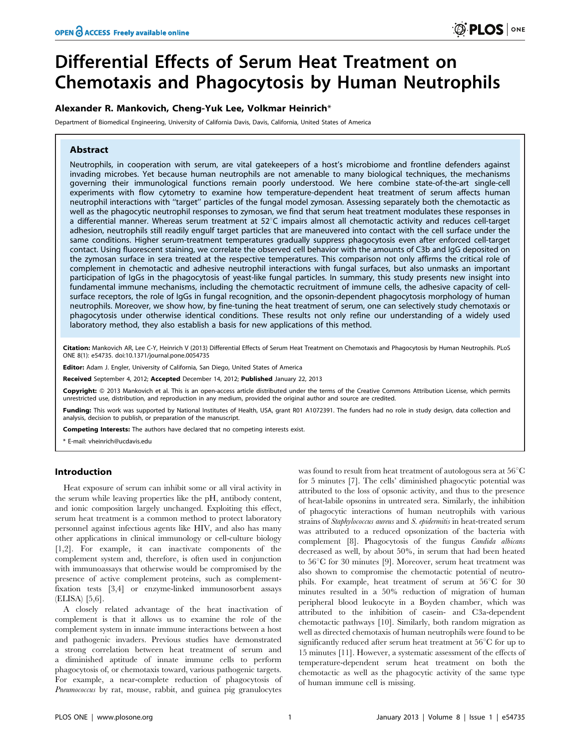# Differential Effects of Serum Heat Treatment on Chemotaxis and Phagocytosis by Human Neutrophils

# Alexander R. Mankovich, Cheng-Yuk Lee, Volkmar Heinrich\*

Department of Biomedical Engineering, University of California Davis, Davis, California, United States of America

# Abstract

Neutrophils, in cooperation with serum, are vital gatekeepers of a host's microbiome and frontline defenders against invading microbes. Yet because human neutrophils are not amenable to many biological techniques, the mechanisms governing their immunological functions remain poorly understood. We here combine state-of-the-art single-cell experiments with flow cytometry to examine how temperature-dependent heat treatment of serum affects human neutrophil interactions with ''target'' particles of the fungal model zymosan. Assessing separately both the chemotactic as well as the phagocytic neutrophil responses to zymosan, we find that serum heat treatment modulates these responses in a differential manner. Whereas serum treatment at  $52^{\circ}$ C impairs almost all chemotactic activity and reduces cell-target adhesion, neutrophils still readily engulf target particles that are maneuvered into contact with the cell surface under the same conditions. Higher serum-treatment temperatures gradually suppress phagocytosis even after enforced cell-target contact. Using fluorescent staining, we correlate the observed cell behavior with the amounts of C3b and IgG deposited on the zymosan surface in sera treated at the respective temperatures. This comparison not only affirms the critical role of complement in chemotactic and adhesive neutrophil interactions with fungal surfaces, but also unmasks an important participation of IgGs in the phagocytosis of yeast-like fungal particles. In summary, this study presents new insight into fundamental immune mechanisms, including the chemotactic recruitment of immune cells, the adhesive capacity of cellsurface receptors, the role of IgGs in fungal recognition, and the opsonin-dependent phagocytosis morphology of human neutrophils. Moreover, we show how, by fine-tuning the heat treatment of serum, one can selectively study chemotaxis or phagocytosis under otherwise identical conditions. These results not only refine our understanding of a widely used laboratory method, they also establish a basis for new applications of this method.

Citation: Mankovich AR, Lee C-Y, Heinrich V (2013) Differential Effects of Serum Heat Treatment on Chemotaxis and Phagocytosis by Human Neutrophils. PLoS ONE 8(1): e54735. doi:10.1371/journal.pone.0054735

Editor: Adam J. Engler, University of California, San Diego, United States of America

Received September 4, 2012; Accepted December 14, 2012; Published January 22, 2013

Copyright: @ 2013 Mankovich et al. This is an open-access article distributed under the terms of the Creative Commons Attribution License, which permits unrestricted use, distribution, and reproduction in any medium, provided the original author and source are credited.

Funding: This work was supported by National Institutes of Health, USA, grant R01 A1072391. The funders had no role in study design, data collection and analysis, decision to publish, or preparation of the manuscript.

Competing Interests: The authors have declared that no competing interests exist.

# Introduction

Heat exposure of serum can inhibit some or all viral activity in the serum while leaving properties like the pH, antibody content, and ionic composition largely unchanged. Exploiting this effect, serum heat treatment is a common method to protect laboratory personnel against infectious agents like HIV, and also has many other applications in clinical immunology or cell-culture biology [1,2]. For example, it can inactivate components of the complement system and, therefore, is often used in conjunction with immunoassays that otherwise would be compromised by the presence of active complement proteins, such as complementfixation tests [3,4] or enzyme-linked immunosorbent assays (ELISA) [5,6].

A closely related advantage of the heat inactivation of complement is that it allows us to examine the role of the complement system in innate immune interactions between a host and pathogenic invaders. Previous studies have demonstrated a strong correlation between heat treatment of serum and a diminished aptitude of innate immune cells to perform phagocytosis of, or chemotaxis toward, various pathogenic targets. For example, a near-complete reduction of phagocytosis of Pneumococcus by rat, mouse, rabbit, and guinea pig granulocytes

was found to result from heat treatment of autologous sera at  $56^{\circ}$ C for 5 minutes [7]. The cells' diminished phagocytic potential was attributed to the loss of opsonic activity, and thus to the presence of heat-labile opsonins in untreated sera. Similarly, the inhibition of phagocytic interactions of human neutrophils with various strains of Staphylococcus aureus and S. epidermitis in heat-treated serum was attributed to a reduced opsonization of the bacteria with complement [8]. Phagocytosis of the fungus Candida albicans decreased as well, by about 50%, in serum that had been heated to  $56^{\circ}$ C for 30 minutes [9]. Moreover, serum heat treatment was also shown to compromise the chemotactic potential of neutrophils. For example, heat treatment of serum at  $56^{\circ}$ C for 30 minutes resulted in a 50% reduction of migration of human peripheral blood leukocyte in a Boyden chamber, which was attributed to the inhibition of casein- and C3a-dependent chemotactic pathways [10]. Similarly, both random migration as well as directed chemotaxis of human neutrophils were found to be significantly reduced after serum heat treatment at  $56^{\circ}$ C for up to 15 minutes [11]. However, a systematic assessment of the effects of temperature-dependent serum heat treatment on both the chemotactic as well as the phagocytic activity of the same type of human immune cell is missing.

<sup>\*</sup> E-mail: vheinrich@ucdavis.edu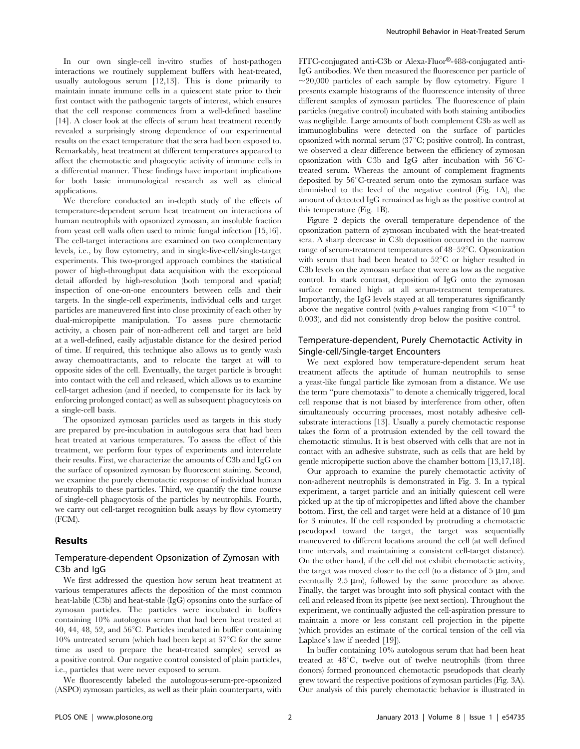In our own single-cell in-vitro studies of host-pathogen interactions we routinely supplement buffers with heat-treated, usually autologous serum [12,13]. This is done primarily to maintain innate immune cells in a quiescent state prior to their first contact with the pathogenic targets of interest, which ensures that the cell response commences from a well-defined baseline [14]. A closer look at the effects of serum heat treatment recently revealed a surprisingly strong dependence of our experimental results on the exact temperature that the sera had been exposed to. Remarkably, heat treatment at different temperatures appeared to affect the chemotactic and phagocytic activity of immune cells in a differential manner. These findings have important implications for both basic immunological research as well as clinical applications.

We therefore conducted an in-depth study of the effects of temperature-dependent serum heat treatment on interactions of human neutrophils with opsonized zymosan, an insoluble fraction from yeast cell walls often used to mimic fungal infection [15,16]. The cell-target interactions are examined on two complementary levels, i.e., by flow cytometry, and in single-live-cell/single-target experiments. This two-pronged approach combines the statistical power of high-throughput data acquisition with the exceptional detail afforded by high-resolution (both temporal and spatial) inspection of one-on-one encounters between cells and their targets. In the single-cell experiments, individual cells and target particles are maneuvered first into close proximity of each other by dual-micropipette manipulation. To assess pure chemotactic activity, a chosen pair of non-adherent cell and target are held at a well-defined, easily adjustable distance for the desired period of time. If required, this technique also allows us to gently wash away chemoattractants, and to relocate the target at will to opposite sides of the cell. Eventually, the target particle is brought into contact with the cell and released, which allows us to examine cell-target adhesion (and if needed, to compensate for its lack by enforcing prolonged contact) as well as subsequent phagocytosis on a single-cell basis.

The opsonized zymosan particles used as targets in this study are prepared by pre-incubation in autologous sera that had been heat treated at various temperatures. To assess the effect of this treatment, we perform four types of experiments and interrelate their results. First, we characterize the amounts of C3b and IgG on the surface of opsonized zymosan by fluorescent staining. Second, we examine the purely chemotactic response of individual human neutrophils to these particles. Third, we quantify the time course of single-cell phagocytosis of the particles by neutrophils. Fourth, we carry out cell-target recognition bulk assays by flow cytometry (FCM).

# Results

# Temperature-dependent Opsonization of Zymosan with C3b and IgG

We first addressed the question how serum heat treatment at various temperatures affects the deposition of the most common heat-labile (C3b) and heat-stable (IgG) opsonins onto the surface of zymosan particles. The particles were incubated in buffers containing 10% autologous serum that had been heat treated at 40, 44, 48, 52, and  $56^{\circ}$ C. Particles incubated in buffer containing 10% untreated serum (which had been kept at  $37^{\circ}$ C for the same time as used to prepare the heat-treated samples) served as a positive control. Our negative control consisted of plain particles, i.e., particles that were never exposed to serum.

We fluorescently labeled the autologous-serum-pre-opsonized (ASPO) zymosan particles, as well as their plain counterparts, with FITC-conjugated anti-C3b or Alexa-Fluor®-488-conjugated anti-IgG antibodies. We then measured the fluorescence per particle of  $\sim$ 20,000 particles of each sample by flow cytometry. Figure 1 presents example histograms of the fluorescence intensity of three different samples of zymosan particles. The fluorescence of plain particles (negative control) incubated with both staining antibodies was negligible. Large amounts of both complement C3b as well as immunoglobulins were detected on the surface of particles opsonized with normal serum  $(37^{\circ}C;$  positive control). In contrast, we observed a clear difference between the efficiency of zymosan opsonization with C3b and IgG after incubation with  $56^{\circ}$ Ctreated serum. Whereas the amount of complement fragments deposited by 56°C-treated serum onto the zymosan surface was diminished to the level of the negative control (Fig. 1A), the amount of detected IgG remained as high as the positive control at this temperature (Fig. 1B).

Figure 2 depicts the overall temperature dependence of the opsonization pattern of zymosan incubated with the heat-treated sera. A sharp decrease in C3b deposition occurred in the narrow range of serum-treatment temperatures of  $48-52^{\circ}$ C. Opsonization with serum that had been heated to  $52^{\circ}$ C or higher resulted in C3b levels on the zymosan surface that were as low as the negative control. In stark contrast, deposition of IgG onto the zymosan surface remained high at all serum-treatment temperatures. Importantly, the IgG levels stayed at all temperatures significantly above the negative control (with p-values ranging from  $\leq 10^{-4}$  to 0.003), and did not consistently drop below the positive control.

# Temperature-dependent, Purely Chemotactic Activity in Single-cell/Single-target Encounters

We next explored how temperature-dependent serum heat treatment affects the aptitude of human neutrophils to sense a yeast-like fungal particle like zymosan from a distance. We use the term ''pure chemotaxis'' to denote a chemically triggered, local cell response that is not biased by interference from other, often simultaneously occurring processes, most notably adhesive cellsubstrate interactions [13]. Usually a purely chemotactic response takes the form of a protrusion extended by the cell toward the chemotactic stimulus. It is best observed with cells that are not in contact with an adhesive substrate, such as cells that are held by gentle micropipette suction above the chamber bottom [13,17,18].

Our approach to examine the purely chemotactic activity of non-adherent neutrophils is demonstrated in Fig. 3. In a typical experiment, a target particle and an initially quiescent cell were picked up at the tip of micropipettes and lifted above the chamber bottom. First, the cell and target were held at a distance of  $10 \mu m$ for 3 minutes. If the cell responded by protruding a chemotactic pseudopod toward the target, the target was sequentially maneuvered to different locations around the cell (at well defined time intervals, and maintaining a consistent cell-target distance). On the other hand, if the cell did not exhibit chemotactic activity, the target was moved closer to the cell (to a distance of  $5 \mu m$ , and eventually  $2.5 \mu m$ ), followed by the same procedure as above. Finally, the target was brought into soft physical contact with the cell and released from its pipette (see next section). Throughout the experiment, we continually adjusted the cell-aspiration pressure to maintain a more or less constant cell projection in the pipette (which provides an estimate of the cortical tension of the cell via Laplace's law if needed [19]).

In buffer containing 10% autologous serum that had been heat treated at  $48^{\circ}$ C, twelve out of twelve neutrophils (from three donors) formed pronounced chemotactic pseudopods that clearly grew toward the respective positions of zymosan particles (Fig. 3A). Our analysis of this purely chemotactic behavior is illustrated in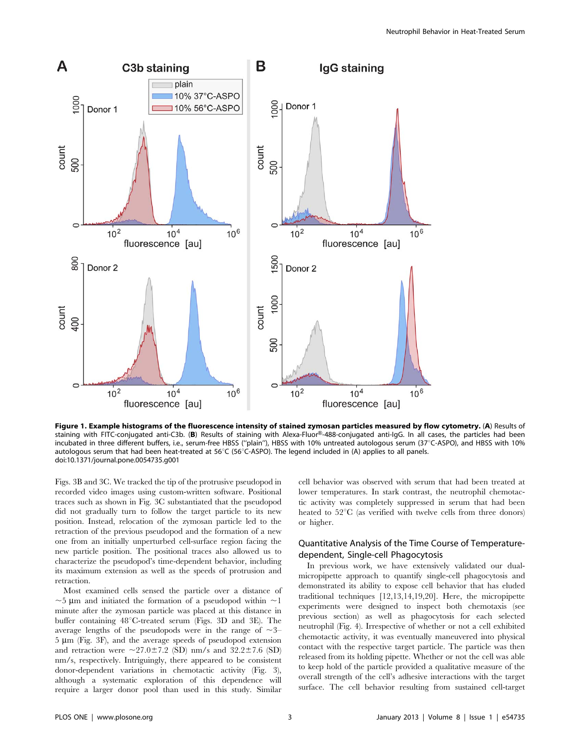

Figure 1. Example histograms of the fluorescence intensity of stained zymosan particles measured by flow cytometry. (A) Results of staining with FITC-conjugated anti-C3b. (B) Results of staining with Alexa-Fluor®-488-conjugated anti-IgG. In all cases, the particles had been incubated in three different buffers, i.e., serum-free HBSS ("plain"), HBSS with 10% untreated autologous serum (37°C-ASPO), and HBSS with 10% autologous serum that had been heat-treated at  $56^{\circ}C$  ( $56^{\circ}C$ -ASPO). The legend included in (A) applies to all panels. doi:10.1371/journal.pone.0054735.g001

Figs. 3B and 3C. We tracked the tip of the protrusive pseudopod in recorded video images using custom-written software. Positional traces such as shown in Fig. 3C substantiated that the pseudopod did not gradually turn to follow the target particle to its new position. Instead, relocation of the zymosan particle led to the retraction of the previous pseudopod and the formation of a new one from an initially unperturbed cell-surface region facing the new particle position. The positional traces also allowed us to characterize the pseudopod's time-dependent behavior, including its maximum extension as well as the speeds of protrusion and retraction.

Most examined cells sensed the particle over a distance of  $\sim$ 5 µm and initiated the formation of a pseudopod within  $\sim$ 1 minute after the zymosan particle was placed at this distance in buffer containing  $48^{\circ}$ C-treated serum (Figs. 3D and 3E). The average lengths of the pseudopods were in the range of  $\sim$ 3–  $5 \mu m$  (Fig. 3F), and the average speeds of pseudopod extension and retraction were  $\sim$ 27.0 $\pm$ 7.2 (SD) nm/s and 32.2 $\pm$ 7.6 (SD) nm/s, respectively. Intriguingly, there appeared to be consistent donor-dependent variations in chemotactic activity (Fig. 3), although a systematic exploration of this dependence will require a larger donor pool than used in this study. Similar

cell behavior was observed with serum that had been treated at lower temperatures. In stark contrast, the neutrophil chemotactic activity was completely suppressed in serum that had been heated to  $52^{\circ}$ C (as verified with twelve cells from three donors) or higher.

# Quantitative Analysis of the Time Course of Temperaturedependent, Single-cell Phagocytosis

In previous work, we have extensively validated our dualmicropipette approach to quantify single-cell phagocytosis and demonstrated its ability to expose cell behavior that has eluded traditional techniques [12,13,14,19,20]. Here, the micropipette experiments were designed to inspect both chemotaxis (see previous section) as well as phagocytosis for each selected neutrophil (Fig. 4). Irrespective of whether or not a cell exhibited chemotactic activity, it was eventually maneuvered into physical contact with the respective target particle. The particle was then released from its holding pipette. Whether or not the cell was able to keep hold of the particle provided a qualitative measure of the overall strength of the cell's adhesive interactions with the target surface. The cell behavior resulting from sustained cell-target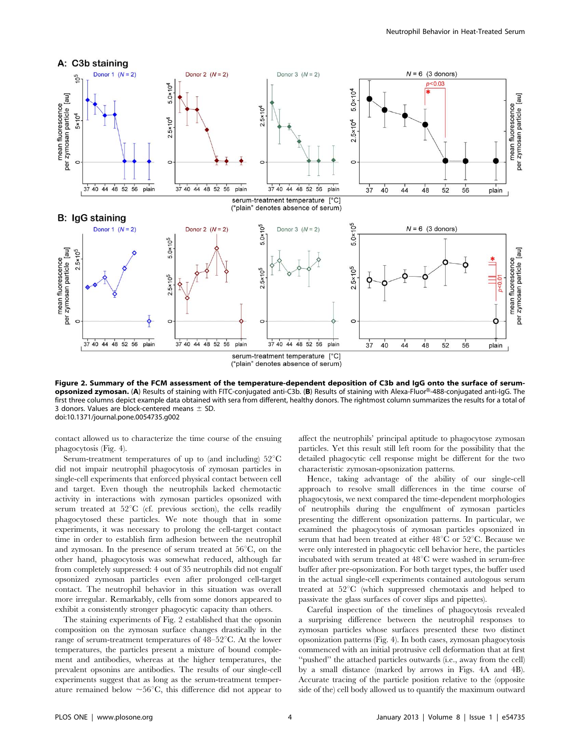

Figure 2. Summary of the FCM assessment of the temperature-dependent deposition of C3b and IgG onto the surface of serumopsonized zymosan. (A) Results of staining with FITC-conjugated anti-C3b. (B) Results of staining with Alexa-Fluor®-488-conjugated anti-IgG. The first three columns depict example data obtained with sera from different, healthy donors. The rightmost column summarizes the results for a total of 3 donors. Values are block-centered means  $\pm$  SD. doi:10.1371/journal.pone.0054735.g002

contact allowed us to characterize the time course of the ensuing phagocytosis (Fig. 4).

Serum-treatment temperatures of up to (and including)  $52^{\circ}$ C did not impair neutrophil phagocytosis of zymosan particles in single-cell experiments that enforced physical contact between cell and target. Even though the neutrophils lacked chemotactic activity in interactions with zymosan particles opsonized with serum treated at  $52^{\circ}$ C (cf. previous section), the cells readily phagocytosed these particles. We note though that in some experiments, it was necessary to prolong the cell-target contact time in order to establish firm adhesion between the neutrophil and zymosan. In the presence of serum treated at  $56^{\circ}$ C, on the other hand, phagocytosis was somewhat reduced, although far from completely suppressed: 4 out of 35 neutrophils did not engulf opsonized zymosan particles even after prolonged cell-target contact. The neutrophil behavior in this situation was overall more irregular. Remarkably, cells from some donors appeared to exhibit a consistently stronger phagocytic capacity than others.

The staining experiments of Fig. 2 established that the opsonin composition on the zymosan surface changes drastically in the range of serum-treatment temperatures of  $48-52^{\circ}$ C. At the lower temperatures, the particles present a mixture of bound complement and antibodies, whereas at the higher temperatures, the prevalent opsonins are antibodies. The results of our single-cell experiments suggest that as long as the serum-treatment temperature remained below  $\sim 56^{\circ}$ C, this difference did not appear to affect the neutrophils' principal aptitude to phagocytose zymosan particles. Yet this result still left room for the possibility that the detailed phagocytic cell response might be different for the two characteristic zymosan-opsonization patterns.

Hence, taking advantage of the ability of our single-cell approach to resolve small differences in the time course of phagocytosis, we next compared the time-dependent morphologies of neutrophils during the engulfment of zymosan particles presenting the different opsonization patterns. In particular, we examined the phagocytosis of zymosan particles opsonized in serum that had been treated at either  $48^{\circ}$ C or  $52^{\circ}$ C. Because we were only interested in phagocytic cell behavior here, the particles incubated with serum treated at 48°C were washed in serum-free buffer after pre-opsonization. For both target types, the buffer used in the actual single-cell experiments contained autologous serum treated at  $52^{\circ}$ C (which suppressed chemotaxis and helped to passivate the glass surfaces of cover slips and pipettes).

Careful inspection of the timelines of phagocytosis revealed a surprising difference between the neutrophil responses to zymosan particles whose surfaces presented these two distinct opsonization patterns (Fig. 4). In both cases, zymosan phagocytosis commenced with an initial protrusive cell deformation that at first "pushed" the attached particles outwards (i.e., away from the cell) by a small distance (marked by arrows in Figs. 4A and 4B). Accurate tracing of the particle position relative to the (opposite side of the) cell body allowed us to quantify the maximum outward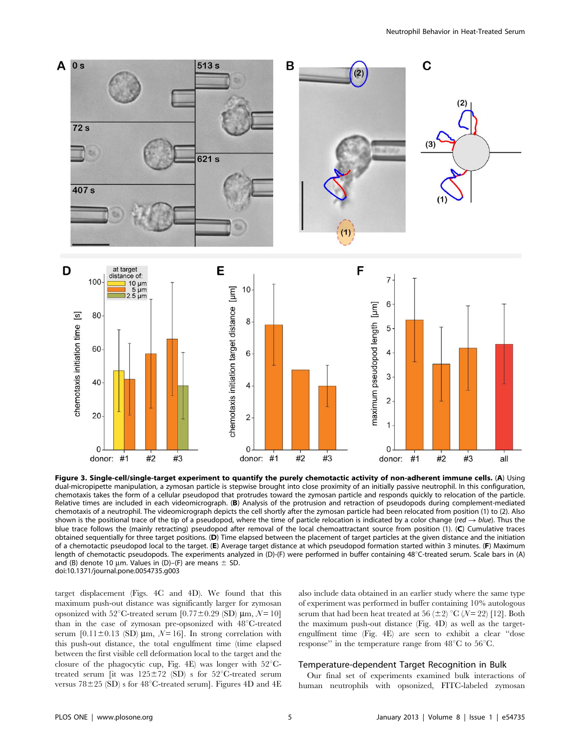![](_page_4_Figure_1.jpeg)

Figure 3. Single-cell/single-target experiment to quantify the purely chemotactic activity of non-adherent immune cells. (A) Using dual-micropipette manipulation, a zymosan particle is stepwise brought into close proximity of an initially passive neutrophil. In this configuration, chemotaxis takes the form of a cellular pseudopod that protrudes toward the zymosan particle and responds quickly to relocation of the particle. Relative times are included in each videomicrograph. (B) Analysis of the protrusion and retraction of pseudopods during complement-mediated chemotaxis of a neutrophil. The videomicrograph depicts the cell shortly after the zymosan particle had been relocated from position (1) to (2). Also shown is the positional trace of the tip of a pseudopod, where the time of particle relocation is indicated by a color change (red  $\rightarrow$  blue). Thus the blue trace follows the (mainly retracting) pseudopod after removal of the local chemoattractant source from position (1). (C) Cumulative traces obtained sequentially for three target positions. (D) Time elapsed between the placement of target particles at the given distance and the initiation of a chemotactic pseudopod local to the target. (E) Average target distance at which pseudopod formation started within 3 minutes. (F) Maximum length of chemotactic pseudopods. The experiments analyzed in (D)-(F) were performed in buffer containing 48 $\degree$ C-treated serum. Scale bars in (A) and (B) denote 10 um. Values in (D)–(F) are means  $\pm$  SD. doi:10.1371/journal.pone.0054735.g003

target displacement (Figs. 4C and 4D). We found that this maximum push-out distance was significantly larger for zymosan opsonized with 52°C-treated serum [0.77 $\pm$ 0.29 (SD)  $\mu$ m, N = 10] than in the case of zymosan pre-opsonized with  $48^{\circ}$ C-treated serum  $[0.11 \pm 0.13$  (SD)  $\mu$ m,  $\mathcal{N} = 16$ . In strong correlation with this push-out distance, the total engulfment time (time elapsed between the first visible cell deformation local to the target and the closure of the phagocytic cup, Fig. 4E) was longer with  $52^{\circ}$ Ctreated serum [it was  $125\pm72$  (SD) s for  $52^{\circ}$ C-treated serum versus  $78\pm25$  (SD) s for 48<sup>°</sup>C-treated serum]. Figures 4D and 4E also include data obtained in an earlier study where the same type of experiment was performed in buffer containing 10% autologous serum that had been heat treated at 56 ( $\pm$ 2) °C ( $N$ = 22) [12]. Both the maximum push-out distance (Fig. 4D) as well as the targetengulfment time (Fig. 4E) are seen to exhibit a clear ''dose response" in the temperature range from  $48^{\circ}$ C to  $56^{\circ}$ C.

## Temperature-dependent Target Recognition in Bulk

Our final set of experiments examined bulk interactions of human neutrophils with opsonized, FITC-labeled zymosan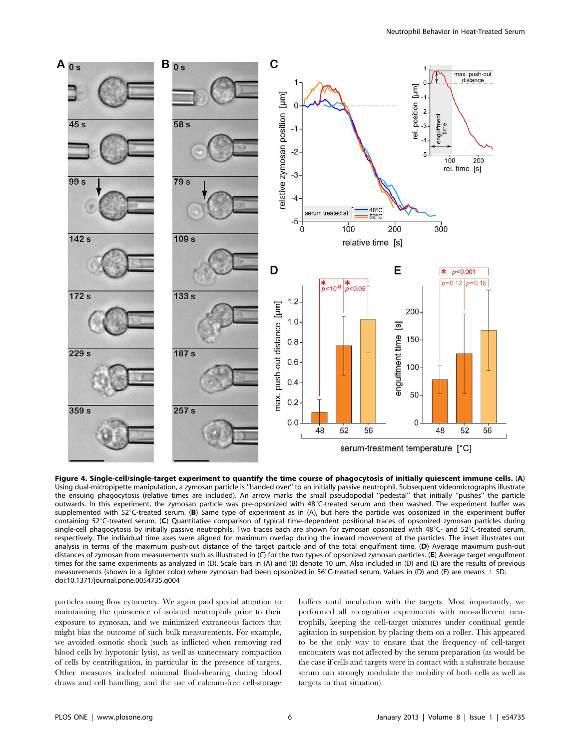![](_page_5_Figure_1.jpeg)

Figure 4. Single-cell/single-target experiment to quantify the time course of phagocytosis of initially quiescent immune cells. (A) Using dual-micropipette manipulation, a zymosan particle is ''handed over'' to an initially passive neutrophil. Subsequent videomicrographs illustrate the ensuing phagocytosis (relative times are included). An arrow marks the small pseudopodial ''pedestal'' that initially ''pushes'' the particle outwards. In this experiment, the zymosan particle was pre-opsonized with 48°C-treated serum and then washed. The experiment buffer was supplemented with  $52^{\circ}$ C-treated serum. (B) Same type of experiment as in (A), but here the particle was opsonized in the experiment buffer containing 52°C-treated serum. (C) Quantitative comparison of typical time-dependent positional traces of opsonized zymosan particles during single-cell phagocytosis by initially passive neutrophils. Two traces each are shown for zymosan opsonized with  $48^{\circ}$ C- and 52 $^{\circ}$ C-treated serum, respectively. The individual time axes were aligned for maximum overlap during the inward movement of the particles. The inset illustrates our analysis in terms of the maximum push-out distance of the target particle and of the total engulfment time. (D) Average maximum push-out distances of zymosan from measurements such as illustrated in (C) for the two types of opsonized zymosan particles. (E) Average target engulfment times for the same experiments as analyzed in (D). Scale bars in (A) and (B) denote 10 µm. Also included in (D) and (E) are the results of previous measurements (shown in a lighter color) where zymosan had been opsonized in 56°C-treated serum. Values in (D) and (E) are means  $\pm$  SD. doi:10.1371/journal.pone.0054735.g004

particles using flow cytometry. We again paid special attention to maintaining the quiescence of isolated neutrophils prior to their exposure to zymosan, and we minimized extraneous factors that might bias the outcome of such bulk measurements. For example, we avoided osmotic shock (such as inflicted when removing red blood cells by hypotonic lysis), as well as unnecessary compaction of cells by centrifugation, in particular in the presence of targets. Other measures included minimal fluid-shearing during blood draws and cell handling, and the use of calcium-free cell-storage

buffers until incubation with the targets. Most importantly, we performed all recognition experiments with non-adherent neutrophils, keeping the cell-target mixtures under continual gentle agitation in suspension by placing them on a roller. This appeared to be the only way to ensure that the frequency of cell-target encounters was not affected by the serum preparation (as would be the case if cells and targets were in contact with a substrate because serum can strongly modulate the mobility of both cells as well as targets in that situation).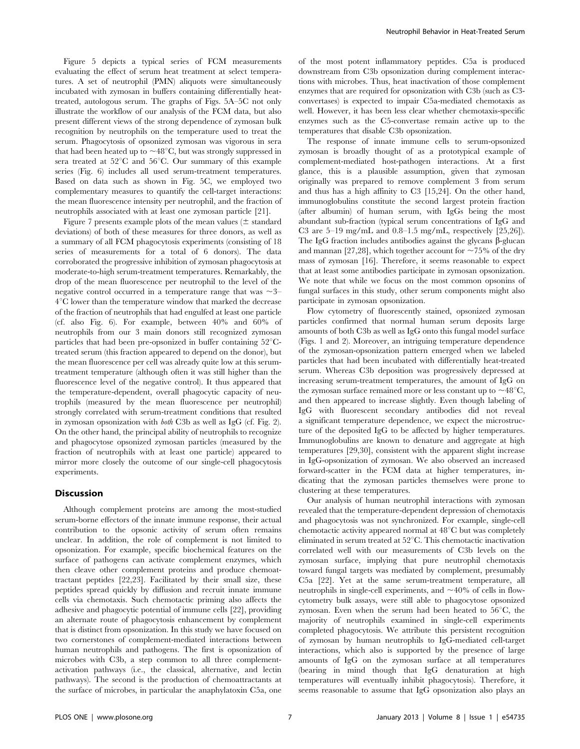Figure 5 depicts a typical series of FCM measurements evaluating the effect of serum heat treatment at select temperatures. A set of neutrophil (PMN) aliquots were simultaneously incubated with zymosan in buffers containing differentially heattreated, autologous serum. The graphs of Figs. 5A–5C not only illustrate the workflow of our analysis of the FCM data, but also present different views of the strong dependence of zymosan bulk recognition by neutrophils on the temperature used to treat the serum. Phagocytosis of opsonized zymosan was vigorous in sera that had been heated up to  $\sim$ 48°C, but was strongly suppressed in sera treated at  $52^{\circ}$ C and  $56^{\circ}$ C. Our summary of this example series (Fig. 6) includes all used serum-treatment temperatures. Based on data such as shown in Fig. 5C, we employed two complementary measures to quantify the cell-target interactions: the mean fluorescence intensity per neutrophil, and the fraction of neutrophils associated with at least one zymosan particle [21].

Figure 7 presents example plots of the mean values ( $\pm$  standard deviations) of both of these measures for three donors, as well as a summary of all FCM phagocytosis experiments (consisting of 18 series of measurements for a total of 6 donors). The data corroborated the progressive inhibition of zymosan phagocytosis at moderate-to-high serum-treatment temperatures. Remarkably, the drop of the mean fluorescence per neutrophil to the level of the negative control occurred in a temperature range that was  $\sim$ 3–  $4^{\circ}$ C lower than the temperature window that marked the decrease of the fraction of neutrophils that had engulfed at least one particle (cf. also Fig. 6). For example, between 40% and 60% of neutrophils from our 3 main donors still recognized zymosan particles that had been pre-opsonized in buffer containing  $52^{\circ}$ Ctreated serum (this fraction appeared to depend on the donor), but the mean fluorescence per cell was already quite low at this serumtreatment temperature (although often it was still higher than the fluorescence level of the negative control). It thus appeared that the temperature-dependent, overall phagocytic capacity of neutrophils (measured by the mean fluorescence per neutrophil) strongly correlated with serum-treatment conditions that resulted in zymosan opsonization with both C3b as well as IgG (cf. Fig. 2). On the other hand, the principal ability of neutrophils to recognize and phagocytose opsonized zymosan particles (measured by the fraction of neutrophils with at least one particle) appeared to mirror more closely the outcome of our single-cell phagocytosis experiments.

#### **Discussion**

Although complement proteins are among the most-studied serum-borne effectors of the innate immune response, their actual contribution to the opsonic activity of serum often remains unclear. In addition, the role of complement is not limited to opsonization. For example, specific biochemical features on the surface of pathogens can activate complement enzymes, which then cleave other complement proteins and produce chemoattractant peptides [22,23]. Facilitated by their small size, these peptides spread quickly by diffusion and recruit innate immune cells via chemotaxis. Such chemotactic priming also affects the adhesive and phagocytic potential of immune cells [22], providing an alternate route of phagocytosis enhancement by complement that is distinct from opsonization. In this study we have focused on two cornerstones of complement-mediated interactions between human neutrophils and pathogens. The first is opsonization of microbes with C3b, a step common to all three complementactivation pathways (i.e., the classical, alternative, and lectin pathways). The second is the production of chemoattractants at the surface of microbes, in particular the anaphylatoxin C5a, one

of the most potent inflammatory peptides. C5a is produced downstream from C3b opsonization during complement interactions with microbes. Thus, heat inactivation of those complement enzymes that are required for opsonization with C3b (such as C3 convertases) is expected to impair C5a-mediated chemotaxis as well. However, it has been less clear whether chemotaxis-specific enzymes such as the C5-convertase remain active up to the temperatures that disable C3b opsonization.

The response of innate immune cells to serum-opsonized zymosan is broadly thought of as a prototypical example of complement-mediated host-pathogen interactions. At a first glance, this is a plausible assumption, given that zymosan originally was prepared to remove complement 3 from serum and thus has a high affinity to C3 [15,24]. On the other hand, immunoglobulins constitute the second largest protein fraction (after albumin) of human serum, with IgGs being the most abundant sub-fraction (typical serum concentrations of IgG and C3 are 5–19 mg/mL and 0.8–1.5 mg/mL, respectively [25,26]). The IgG fraction includes antibodies against the glycans  $\beta$ -glucan and mannan [27,28], which together account for  $\sim$  75% of the dry mass of zymosan [16]. Therefore, it seems reasonable to expect that at least some antibodies participate in zymosan opsonization. We note that while we focus on the most common opsonins of fungal surfaces in this study, other serum components might also participate in zymosan opsonization.

Flow cytometry of fluorescently stained, opsonized zymosan particles confirmed that normal human serum deposits large amounts of both C3b as well as IgG onto this fungal model surface (Figs. 1 and 2). Moreover, an intriguing temperature dependence of the zymosan-opsonization pattern emerged when we labeled particles that had been incubated with differentially heat-treated serum. Whereas C3b deposition was progressively depressed at increasing serum-treatment temperatures, the amount of IgG on the zymosan surface remained more or less constant up to  $\sim$  48 $^{\circ}$ C, and then appeared to increase slightly. Even though labeling of IgG with fluorescent secondary antibodies did not reveal a significant temperature dependence, we expect the microstructure of the deposited IgG to be affected by higher temperatures. Immunoglobulins are known to denature and aggregate at high temperatures [29,30], consistent with the apparent slight increase in IgG-opsonization of zymosan. We also observed an increased forward-scatter in the FCM data at higher temperatures, indicating that the zymosan particles themselves were prone to clustering at these temperatures.

Our analysis of human neutrophil interactions with zymosan revealed that the temperature-dependent depression of chemotaxis and phagocytosis was not synchronized. For example, single-cell chemotactic activity appeared normal at 48°C but was completely eliminated in serum treated at  $52^{\circ}$ C. This chemotactic inactivation correlated well with our measurements of C3b levels on the zymosan surface, implying that pure neutrophil chemotaxis toward fungal targets was mediated by complement, presumably C5a [22]. Yet at the same serum-treatment temperature, all neutrophils in single-cell experiments, and  $\sim$ 40% of cells in flowcytometry bulk assays, were still able to phagocytose opsonized zymosan. Even when the serum had been heated to  $56^{\circ}$ C, the majority of neutrophils examined in single-cell experiments completed phagocytosis. We attribute this persistent recognition of zymosan by human neutrophils to IgG-mediated cell-target interactions, which also is supported by the presence of large amounts of IgG on the zymosan surface at all temperatures (bearing in mind though that IgG denaturation at high temperatures will eventually inhibit phagocytosis). Therefore, it seems reasonable to assume that IgG opsonization also plays an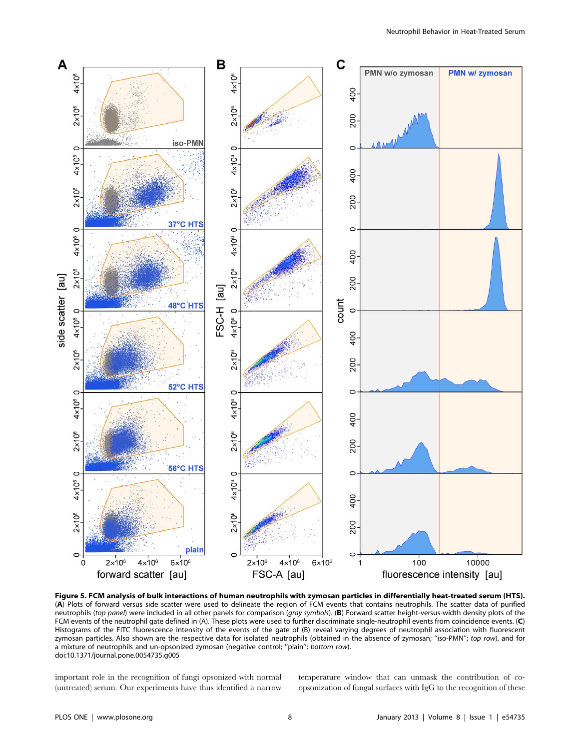![](_page_7_Figure_1.jpeg)

Figure 5. FCM analysis of bulk interactions of human neutrophils with zymosan particles in differentially heat-treated serum (HTS). (A) Plots of forward versus side scatter were used to delineate the region of FCM events that contains neutrophils. The scatter data of purified neutrophils (top panel) were included in all other panels for comparison (gray symbols). (B) Forward scatter height-versus-width density plots of the FCM events of the neutrophil gate defined in (A). These plots were used to further discriminate single-neutrophil events from coincidence events. (C) Histograms of the FITC fluorescence intensity of the events of the gate of (B) reveal varying degrees of neutrophil association with fluorescent zymosan particles. Also shown are the respective data for isolated neutrophils (obtained in the absence of zymosan; "iso-PMN"; top row), and for a mixture of neutrophils and un-opsonized zymosan (negative control; ''plain''; bottom row). doi:10.1371/journal.pone.0054735.g005

important role in the recognition of fungi opsonized with normal (untreated) serum. Our experiments have thus identified a narrow

temperature window that can unmask the contribution of coopsonization of fungal surfaces with IgG to the recognition of these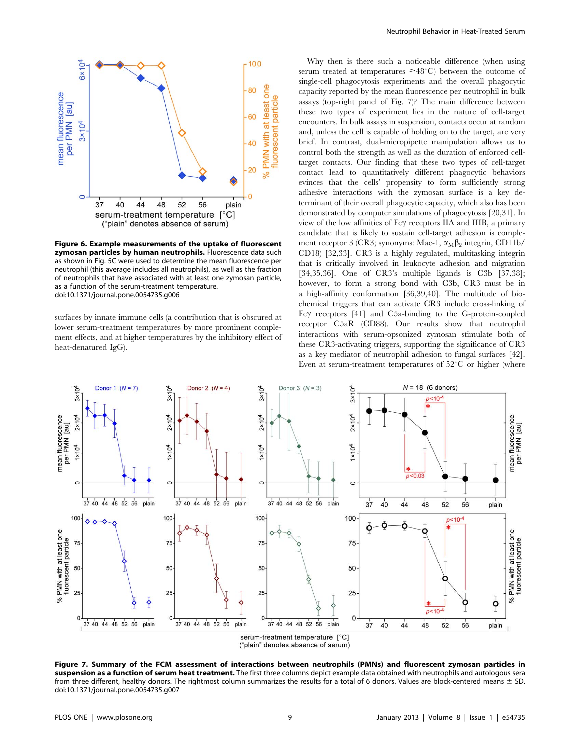![](_page_8_Figure_0.jpeg)

Figure 6. Example measurements of the uptake of fluorescent zymosan particles by human neutrophils. Fluorescence data such as shown in Fig. 5C were used to determine the mean fluorescence per neutrophil (this average includes all neutrophils), as well as the fraction of neutrophils that have associated with at least one zymosan particle, as a function of the serum-treatment temperature. doi:10.1371/journal.pone.0054735.g006

surfaces by innate immune cells (a contribution that is obscured at lower serum-treatment temperatures by more prominent complement effects, and at higher temperatures by the inhibitory effect of heat-denatured IgG).

Why then is there such a noticeable difference (when using serum treated at temperatures  $\geq 48^{\circ}$ C) between the outcome of single-cell phagocytosis experiments and the overall phagocytic capacity reported by the mean fluorescence per neutrophil in bulk assays (top-right panel of Fig. 7)? The main difference between these two types of experiment lies in the nature of cell-target encounters. In bulk assays in suspension, contacts occur at random and, unless the cell is capable of holding on to the target, are very brief. In contrast, dual-micropipette manipulation allows us to control both the strength as well as the duration of enforced celltarget contacts. Our finding that these two types of cell-target contact lead to quantitatively different phagocytic behaviors evinces that the cells' propensity to form sufficiently strong adhesive interactions with the zymosan surface is a key determinant of their overall phagocytic capacity, which also has been demonstrated by computer simulations of phagocytosis [20,31]. In view of the low affinities of  $Fc\gamma$  receptors IIA and IIIB, a primary candidate that is likely to sustain cell-target adhesion is complement receptor 3 (CR3; synonyms: Mac-1,  $\alpha_M \beta_2$  integrin, CD11b/ CD18) [32,33]. CR3 is a highly regulated, multitasking integrin that is critically involved in leukocyte adhesion and migration [34,35,36]. One of CR3's multiple ligands is C3b [37,38]; however, to form a strong bond with C3b, CR3 must be in a high-affinity conformation [36,39,40]. The multitude of biochemical triggers that can activate CR3 include cross-linking of  $Fc\gamma$  receptors [41] and C5a-binding to the G-protein-coupled receptor C5aR (CD88). Our results show that neutrophil interactions with serum-opsonized zymosan stimulate both of these CR3-activating triggers, supporting the significance of CR3 as a key mediator of neutrophil adhesion to fungal surfaces [42]. Even at serum-treatment temperatures of  $52^{\circ}$ C or higher (where

![](_page_8_Figure_5.jpeg)

Figure 7. Summary of the FCM assessment of interactions between neutrophils (PMNs) and fluorescent zymosan particles in suspension as a function of serum heat treatment. The first three columns depict example data obtained with neutrophils and autologous sera from three different, healthy donors. The rightmost column summarizes the results for a total of 6 donors. Values are block-centered means  $\pm$  SD. doi:10.1371/journal.pone.0054735.g007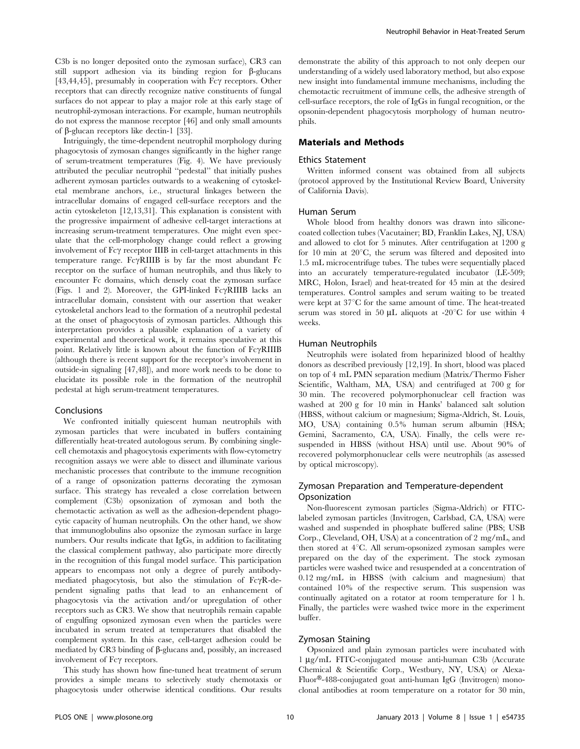C3b is no longer deposited onto the zymosan surface), CR3 can still support adhesion via its binding region for  $\beta$ -glucans [43,44,45], presumably in cooperation with  $Fc\gamma$  receptors. Other receptors that can directly recognize native constituents of fungal surfaces do not appear to play a major role at this early stage of neutrophil-zymosan interactions. For example, human neutrophils do not express the mannose receptor [46] and only small amounts of  $\beta$ -glucan receptors like dectin-1 [33].

Intriguingly, the time-dependent neutrophil morphology during phagocytosis of zymosan changes significantly in the higher range of serum-treatment temperatures (Fig. 4). We have previously attributed the peculiar neutrophil ''pedestal'' that initially pushes adherent zymosan particles outwards to a weakening of cytoskeletal membrane anchors, i.e., structural linkages between the intracellular domains of engaged cell-surface receptors and the actin cytoskeleton [12,13,31]. This explanation is consistent with the progressive impairment of adhesive cell-target interactions at increasing serum-treatment temperatures. One might even speculate that the cell-morphology change could reflect a growing involvement of  $Fc\gamma$  receptor IIIB in cell-target attachments in this temperature range.  $Fc\gamma$ RIIIB is by far the most abundant  $Fc$ receptor on the surface of human neutrophils, and thus likely to encounter Fc domains, which densely coat the zymosan surface (Figs. 1 and 2). Moreover, the GPI-linked  $Fc\gamma RIIIB$  lacks an intracellular domain, consistent with our assertion that weaker cytoskeletal anchors lead to the formation of a neutrophil pedestal at the onset of phagocytosis of zymosan particles. Although this interpretation provides a plausible explanation of a variety of experimental and theoretical work, it remains speculative at this point. Relatively little is known about the function of  $Fc\gamma$ RIIIB (although there is recent support for the receptor's involvement in outside-in signaling [47,48]), and more work needs to be done to elucidate its possible role in the formation of the neutrophil pedestal at high serum-treatment temperatures.

#### Conclusions

We confronted initially quiescent human neutrophils with zymosan particles that were incubated in buffers containing differentially heat-treated autologous serum. By combining singlecell chemotaxis and phagocytosis experiments with flow-cytometry recognition assays we were able to dissect and illuminate various mechanistic processes that contribute to the immune recognition of a range of opsonization patterns decorating the zymosan surface. This strategy has revealed a close correlation between complement (C3b) opsonization of zymosan and both the chemotactic activation as well as the adhesion-dependent phagocytic capacity of human neutrophils. On the other hand, we show that immunoglobulins also opsonize the zymosan surface in large numbers. Our results indicate that IgGs, in addition to facilitating the classical complement pathway, also participate more directly in the recognition of this fungal model surface. This participation appears to encompass not only a degree of purely antibodymediated phagocytosis, but also the stimulation of  $Fc\gamma R-de$ pendent signaling paths that lead to an enhancement of phagocytosis via the activation and/or upregulation of other receptors such as CR3. We show that neutrophils remain capable of engulfing opsonized zymosan even when the particles were incubated in serum treated at temperatures that disabled the complement system. In this case, cell-target adhesion could be mediated by  $CR3$  binding of  $\beta$ -glucans and, possibly, an increased involvement of Fc $\gamma$  receptors.

This study has shown how fine-tuned heat treatment of serum provides a simple means to selectively study chemotaxis or phagocytosis under otherwise identical conditions. Our results demonstrate the ability of this approach to not only deepen our understanding of a widely used laboratory method, but also expose new insight into fundamental immune mechanisms, including the chemotactic recruitment of immune cells, the adhesive strength of cell-surface receptors, the role of IgGs in fungal recognition, or the opsonin-dependent phagocytosis morphology of human neutrophils.

# Materials and Methods

#### Ethics Statement

Written informed consent was obtained from all subjects (protocol approved by the Institutional Review Board, University of California Davis).

#### Human Serum

Whole blood from healthy donors was drawn into siliconecoated collection tubes (Vacutainer; BD, Franklin Lakes, NJ, USA) and allowed to clot for 5 minutes. After centrifugation at 1200 g for 10 min at  $20^{\circ}$ C, the serum was filtered and deposited into 1.5 mL microcentrifuge tubes. The tubes were sequentially placed into an accurately temperature-regulated incubator (LE-509; MRC, Holon, Israel) and heat-treated for 45 min at the desired temperatures. Control samples and serum waiting to be treated were kept at 37°C for the same amount of time. The heat-treated serum was stored in 50  $\mu$ L aliquots at -20 $^{\circ}$ C for use within 4 weeks.

#### Human Neutrophils

Neutrophils were isolated from heparinized blood of healthy donors as described previously [12,19]. In short, blood was placed on top of 4 mL PMN separation medium (Matrix/Thermo Fisher Scientific, Waltham, MA, USA) and centrifuged at 700 g for 30 min. The recovered polymorphonuclear cell fraction was washed at 200 g for 10 min in Hanks' balanced salt solution (HBSS, without calcium or magnesium; Sigma-Aldrich, St. Louis, MO, USA) containing 0.5% human serum albumin (HSA; Gemini, Sacramento, CA, USA). Finally, the cells were resuspended in HBSS (without HSA) until use. About 90% of recovered polymorphonuclear cells were neutrophils (as assessed by optical microscopy).

# Zymosan Preparation and Temperature-dependent Opsonization

Non-fluorescent zymosan particles (Sigma-Aldrich) or FITClabeled zymosan particles (Invitrogen, Carlsbad, CA, USA) were washed and suspended in phosphate buffered saline (PBS; USB Corp., Cleveland, OH, USA) at a concentration of 2 mg/mL, and then stored at  $4^{\circ}$ C. All serum-opsonized zymosan samples were prepared on the day of the experiment. The stock zymosan particles were washed twice and resuspended at a concentration of 0.12 mg/mL in HBSS (with calcium and magnesium) that contained 10% of the respective serum. This suspension was continually agitated on a rotator at room temperature for 1 h. Finally, the particles were washed twice more in the experiment buffer.

## Zymosan Staining

Opsonized and plain zymosan particles were incubated with 1 mg/mL FITC-conjugated mouse anti-human C3b (Accurate Chemical & Scientific Corp., Westbury, NY, USA) or Alexa-Fluor<sup>®</sup>-488-conjugated goat anti-human IgG (Invitrogen) monoclonal antibodies at room temperature on a rotator for 30 min,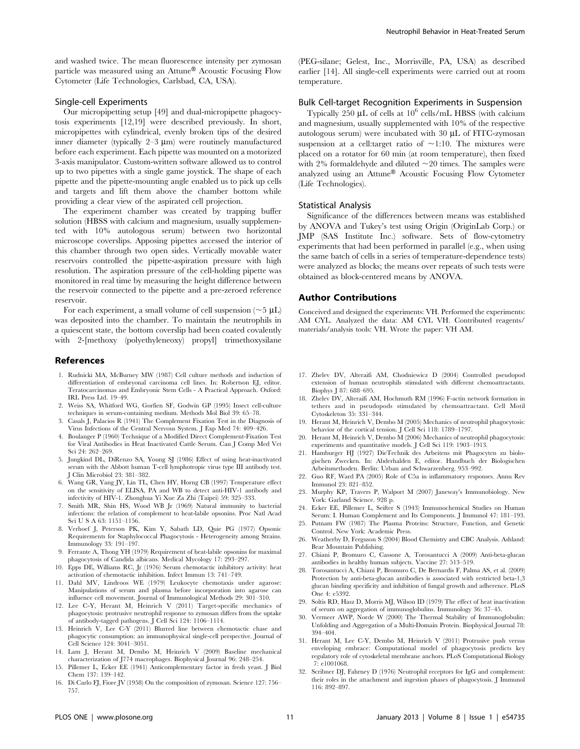and washed twice. The mean fluorescence intensity per zymosan particle was measured using an Attune® Acoustic Focusing Flow Cytometer (Life Technologies, Carlsbad, CA, USA).

## Single-cell Experiments

Our micropipetting setup [49] and dual-micropipette phagocytosis experiments [12,19] were described previously. In short, micropipettes with cylindrical, evenly broken tips of the desired inner diameter (typically  $2-3 \mu m$ ) were routinely manufactured before each experiment. Each pipette was mounted on a motorized 3-axis manipulator. Custom-written software allowed us to control up to two pipettes with a single game joystick. The shape of each pipette and the pipette-mounting angle enabled us to pick up cells and targets and lift them above the chamber bottom while providing a clear view of the aspirated cell projection.

The experiment chamber was created by trapping buffer solution (HBSS with calcium and magnesium, usually supplemented with 10% autologous serum) between two horizontal microscope coverslips. Apposing pipettes accessed the interior of this chamber through two open sides. Vertically movable water reservoirs controlled the pipette-aspiration pressure with high resolution. The aspiration pressure of the cell-holding pipette was monitored in real time by measuring the height difference between the reservoir connected to the pipette and a pre-zeroed reference reservoir.

For each experiment, a small volume of cell suspension ( $\sim$ 5  $\mu$ L) was deposited into the chamber. To maintain the neutrophils in a quiescent state, the bottom coverslip had been coated covalently with 2-[methoxy (polyethyleneoxy) propyl] trimethoxysilane

#### References

- 1. Rudnicki MA, McBurney MW (1987) Cell culture methods and induction of differentiation of embryonal carcinoma cell lines. In: Robertson EJ, editor. Teratocarcinomas and Embryonic Stem Cells - A Practical Approach. Oxford: IRL Press Ltd. 19–49.
- 2. Weiss SA, Whitford WG, Gorfien SF, Godwin GP (1995) Insect cell-culture techniques in serum-containing medium. Methods Mol Biol 39: 65–78.
- 3. Casals J, Palacios R (1941) The Complement Fixation Test in the Diagnosis of Virus Infections of the Central Nervous System. J Exp Med 74: 409–426.
- 4. Boulanger P (1960) Technique of a Modified Direct Complement-Fixation Test for Viral Antibodies in Heat Inactivated Cattle Serum. Can J Comp Med Vet Sci 24: 262–269.
- 5. Jungkind DL, DiRenzo SA, Young SJ (1986) Effect of using heat-inactivated serum with the Abbott human T-cell lymphotropic virus type III antibody test. J Clin Microbiol 23: 381–382.
- 6. Wang GR, Yang JY, Lin TL, Chen HY, Horng CB (1997) Temperature effect on the sensitivity of ELISA, PA and WB to detect anti-HIV-1 antibody and infectivity of HIV-1. Zhonghua Yi Xue Za Zhi (Taipei) 59: 325–333.
- 7. Smith MR, Shin HS, Wood WB Jr (1969) Natural immunity to bacterial infections: the relation of complement to heat-labile opsonins. Proc Natl Acad Sci U S A 63: 1151–1156.
- 8. Verhoef J, Peterson PK, Kim Y, Sabath LD, Quie PG (1977) Opsonic Requirements for Staphylococcal Phagocytosis - Heterogeneity among Strains. Immunology 33: 191–197.
- 9. Ferrante A, Thong YH (1979) Requirement of heat-labile opsonins for maximal phagocytosis of Candida albicans. Medical Mycology 17: 293–297.
- 10. Epps DE, Williams RC, Jr (1976) Serum chemotactic inhibitory activity: heat activation of chemotactic inhibition. Infect Immun 13: 741–749.
- 11. Dahl MV, Lindroos WE (1979) Leukocyte chemotaxis under agarose: Manipulations of serum and plasma before incorporation into agarose can influence cell movement. Journal of Immunological Methods 29: 301–310.
- 12. Lee C-Y, Herant M, Heinrich V (2011) Target-specific mechanics of phagocytosis: protrusive neutrophil response to zymosan differs from the uptake of antibody-tagged pathogens. J Cell Sci 124: 1106–1114.
- 13. Heinrich V, Lee C-Y (2011) Blurred line between chemotactic chase and phagocytic consumption: an immunophysical single-cell perspective. Journal of Cell Science 124: 3041–3051.
- 14. Lam J, Herant M, Dembo M, Heinrich V (2009) Baseline mechanical characterization of J774 macrophages. Biophysical Journal 96: 248–254.
- 15. Pillemer L, Ecker EE (1941) Anticomplementary factor in fresh yeast. J Biol Chem 137: 139–142.
- 16. Di Carlo FJ, Fiore JV (1958) On the composition of zymosan. Science 127: 756– 757.

(PEG-silane; Gelest, Inc., Morrisville, PA, USA) as described earlier [14]. All single-cell experiments were carried out at room temperature.

## Bulk Cell-target Recognition Experiments in Suspension

Typically 250  $\mu$ L of cells at 10<sup>6</sup> cells/mL HBSS (with calcium and magnesium, usually supplemented with 10% of the respective autologous serum) were incubated with  $30 \mu L$  of FITC-zymosan suspension at a cell:target ratio of  $\sim$ 1:10. The mixtures were placed on a rotator for 60 min (at room temperature), then fixed with 2% formaldehyde and diluted  $\sim$  20 times. The samples were analyzed using an Attune® Acoustic Focusing Flow Cytometer (Life Technologies).

## Statistical Analysis

Significance of the differences between means was established by ANOVA and Tukey's test using Origin (OriginLab Corp.) or JMP (SAS Institute Inc.) software. Sets of flow-cytometry experiments that had been performed in parallel (e.g., when using the same batch of cells in a series of temperature-dependence tests) were analyzed as blocks; the means over repeats of such tests were obtained as block-centered means by ANOVA.

# Author Contributions

Conceived and designed the experiments: VH. Performed the experiments: AM CYL. Analyzed the data: AM CYL VH. Contributed reagents/ materials/analysis tools: VH. Wrote the paper: VH AM.

- 17. Zhelev DV, Alteraifi AM, Chodniewicz D (2004) Controlled pseudopod extension of human neutrophils stimulated with different chemoattractants. Biophys J 87: 688–695.
- 18. Zhelev DV, Alteraifi AM, Hochmuth RM (1996) F-actin network formation in tethers and in pseudopods stimulated by chemoattractant. Cell Motil Cytoskeleton 35: 331–344.
- 19. Herant M, Heinrich V, Dembo M (2005) Mechanics of neutrophil phagocytosis: behavior of the cortical tension. J Cell Sci 118: 1789–1797.
- 20. Herant M, Heinrich V, Dembo M (2006) Mechanics of neutrophil phagocytosis: experiments and quantitative models. J Cell Sci 119: 1903–1913.
- 21. Hamburger HJ (1927) DieTechnik des Arbeitens mit Phagocyten zu biologischen Zwecken. In: Abderhalden E, editor. Handbuch der Biologischen Arbeitsmethoden. Berlin: Urban and Schwarzenberg. 953–992.
- 22. Guo RF, Ward PA (2005) Role of C5a in inflammatory responses. Annu Rev Immunol 23: 821–852.
- 23. Murphy KP, Travers P, Walport M (2007) Janeway's Immunobiology. New York: Garland Science. 928 p.
- 24. Ecker EE, Pillemer L, Seifter S (1943) Immunochemical Studies on Human Serum: I. Human Complement and Its Components. J Immunol 47: 181–193.
- 25. Putnam FW (1987) The Plasma Proteins: Structure, Function, and Genetic Control. New York: Academic Press.
- 26. Weatherby D, Ferguson S (2004) Blood Chemistry and CBC Analysis. Ashland: Bear Mountain Publishing.
- 27. Chiani P, Bromuro C, Cassone A, Torosantucci A (2009) Anti-beta-glucan antibodies in healthy human subjects. Vaccine 27: 513–519.
- 28. Torosantucci A, Chiani P, Bromuro C, De Bernardis F, Palma AS, et al. (2009) Protection by anti-beta-glucan antibodies is associated with restricted beta-1,3 glucan binding specificity and inhibition of fungal growth and adherence. PLoS One 4: e5392.
- 29. Soltis RD, Hasz D, Morris MJ, Wilson ID (1979) The effect of heat inactivation of serum on aggregation of immunoglobulins. Immunology 36: 37–45.
- 30. Vermeer AWP, Norde W (2000) The Thermal Stability of Immunoglobulin: Unfolding and Aggregation of a Multi-Domain Protein. Biophysical Journal 78: 394–404.
- 31. Herant M, Lee C-Y, Dembo M, Heinrich V (2011) Protrusive push versus enveloping embrace: Computational model of phagocytosis predicts key regulatory role of cytoskeletal membrane anchors. PLoS Computational Biology 7: e1001068.
- 32. Scribner DJ, Fahrney D (1976) Neutrophil receptors for IgG and complement: their roles in the attachment and ingestion phases of phagocytosis. J Immunol 116: 892–897.